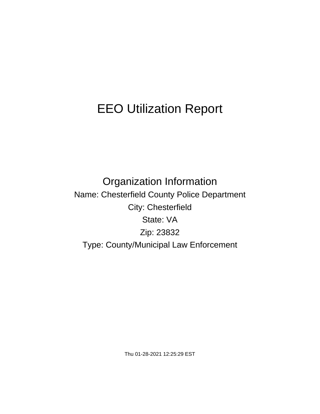# EEO Utilization Report

Organization Information Name: Chesterfield County Police Department City: Chesterfield State: VA Zip: 23832 Type: County/Municipal Law Enforcement

Thu 01-28-2021 12:25:29 EST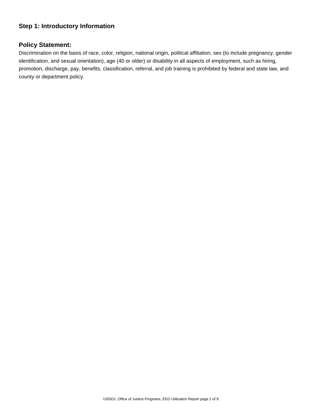# **Step 1: Introductory Information**

## **Policy Statement:**

Discrimination on the basis of race, color, religion, national origin, political affiliation, sex (to include pregnancy, gender identification, and sexual orientation), age (40 or older) or disability in all aspects of employment, such as hiring, promotion, discharge, pay, benefits, classification, referral, and job training is prohibited by federal and state law, and county or department policy.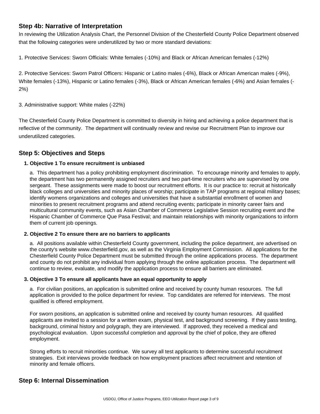## **Step 4b: Narrative of Interpretation**

In reviewing the Utilization Analysis Chart, the Personnel Division of the Chesterfield County Police Department observed that the following categories were underutilized by two or more standard deviations:

1. Protective Services: Sworn Officials: White females (-10%) and Black or African American females (-12%)

2. Protective Services: Sworn Patrol Officers: Hispanic or Latino males (-6%), Black or African American males (-9%), White females (-13%), Hispanic or Latino females (-3%), Black or African American females (-6%) and Asian females (- 2%)

3. Administrative support: White males (-22%)

The Chesterfield County Police Department is committed to diversity in hiring and achieving a police department that is reflective of the community. The department will continually review and revise our Recruitment Plan to improve our underutilized categories.

# **Step 5: Objectives and Steps**

## **1. Objective 1 To ensure recruitment is unbiased**

a. This department has a policy prohibiting employment discrimination. To encourage minority and females to apply, the department has two permanently assigned recruiters and two part-time recruiters who are supervised by one sergeant. These assignments were made to boost our recruitment efforts. It is our practice to: recruit at historically black colleges and universities and minority places of worship; participate in TAP programs at regional military bases; identify womens organizations and colleges and universities that have a substantial enrollment of women and minorities to present recruitment programs and attend recruiting events; participate in minority career fairs and multicultural community events, such as Asian Chamber of Commerce Legislative Session recruiting event and the Hispanic Chamber of Commerce Que Pasa Festival; and maintain relationships with minority organizations to inform them of current job openings.

#### **2. Objective 2 To ensure there are no barriers to applicants**

a. All positions available within Chesterfield County government, including the police department, are advertised on the county's website www.chesterfield.gov, as well as the Virginia Employment Commission. All applications for the Chesterfield County Police Department must be submitted through the online applications process. The department and county do not prohibit any individual from applying through the online application process. The department will continue to review, evaluate, and modify the application process to ensure all barriers are eliminated.

#### **3. Objective 3 To ensure all applicants have an equal opportunity to apply**

a. For civilian positions, an application is submitted online and received by county human resources. The full application is provided to the police department for review. Top candidates are referred for interviews. The most qualified is offered employment.

For sworn positions, an application is submitted online and received by county human resources. All qualified applicants are invited to a session for a written exam, physical test, and background screening. If they pass testing, background, criminal history and polygraph, they are interviewed. If approved, they received a medical and psychological evaluation. Upon successful completion and approval by the chief of police, they are offered employment.

Strong efforts to recruit minorities continue. We survey all test applicants to determine successful recruitment strategies. Exit interviews provide feedback on how employment practices affect recruitment and retention of minority and female officers.

# **Step 6: Internal Dissemination**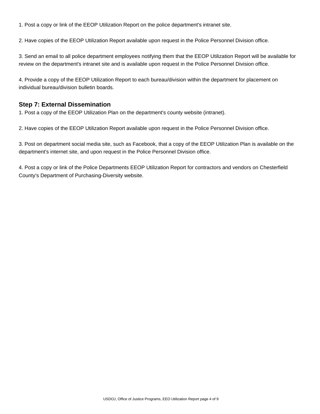1. Post a copy or link of the EEOP Utilization Report on the police department's intranet site.

2. Have copies of the EEOP Utilization Report available upon request in the Police Personnel Division office.

3. Send an email to all police department employees notifying them that the EEOP Utilization Report will be available for review on the department's intranet site and is available upon request in the Police Personnel Division office.

4. Provide a copy of the EEOP Utilization Report to each bureau/division within the department for placement on individual bureau/division bulletin boards.

## **Step 7: External Dissemination**

1. Post a copy of the EEOP Utilization Plan on the department's county website (intranet).

2. Have copies of the EEOP Utilization Report available upon request in the Police Personnel Division office.

3. Post on department social media site, such as Facebook, that a copy of the EEOP Utilization Plan is available on the department's internet site, and upon request in the Police Personnel Division office.

4. Post a copy or link of the Police Departments EEOP Utilization Report for contractors and vendors on Chesterfield County's Department of Purchasing-Diversity website.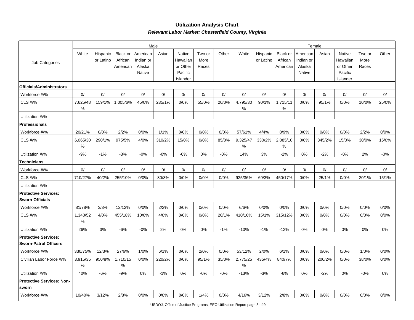## **Utilization Analysis ChartRelevant Labor Market: Chesterfield County, Virginia**

|                                                             |               |                       |                                        |                                           | Male   |                                                       |                         | Female |                  |                       |                                        |                                           |        |                                                       |                         |       |
|-------------------------------------------------------------|---------------|-----------------------|----------------------------------------|-------------------------------------------|--------|-------------------------------------------------------|-------------------------|--------|------------------|-----------------------|----------------------------------------|-------------------------------------------|--------|-------------------------------------------------------|-------------------------|-------|
| Job Categories                                              | White         | Hispanic<br>or Latino | <b>Black or</b><br>African<br>American | American<br>Indian or<br>Alaska<br>Native | Asian  | Native<br>Hawaiian<br>or Other<br>Pacific<br>Islander | Two or<br>More<br>Races | Other  | White            | Hispanic<br>or Latino | <b>Black or</b><br>African<br>American | American<br>Indian or<br>Alaska<br>Native | Asian  | Native<br>Hawaiian<br>or Other<br>Pacific<br>Islander | Two or<br>More<br>Races | Other |
| Officials/Administrators                                    |               |                       |                                        |                                           |        |                                                       |                         |        |                  |                       |                                        |                                           |        |                                                       |                         |       |
| Workforce #/%                                               | 0/            | 0/                    | 0/                                     | 0/                                        | 0/     | 0/                                                    | 0/                      | 0/     | 0/               | 0/                    | 0/                                     | 0/                                        | 0/     | 0/                                                    | 0/                      | 0/    |
| CLS #/%                                                     | 7,625/48<br>℅ | 159/1%                | 005/6%                                 | 45/0%                                     | 235/1% | 0/0%                                                  | 55/0%                   | 20/0%  | 4,795/30<br>$\%$ | 90/1%                 | 1,715/11<br>$\%$                       | 0/0%                                      | 95/1%  | 0/0%                                                  | 10/0%                   | 25/0% |
| Utilization #/%                                             |               |                       |                                        |                                           |        |                                                       |                         |        |                  |                       |                                        |                                           |        |                                                       |                         |       |
| <b>Professionals</b>                                        |               |                       |                                        |                                           |        |                                                       |                         |        |                  |                       |                                        |                                           |        |                                                       |                         |       |
| Workforce #/%                                               | 20/21%        | 0/0%                  | 2/2%                                   | 0/0%                                      | 1/1%   | 0/0%                                                  | 0/0%                    | 0/0%   | 57/61%           | 4/4%                  | 8/9%                                   | 0/0%                                      | 0/0%   | 0/0%                                                  | 2/2%                    | 0/0%  |
| <b>CLS #/%</b>                                              | 6,065/30<br>% | 290/1%                | 975/5%                                 | 4/0%                                      | 310/2% | 15/0%                                                 | 0/0%                    | 85/0%  | 9,325/47<br>%    | 330/2%                | 2,085/10<br>%                          | 0/0%                                      | 345/2% | 15/0%                                                 | 30/0%                   | 15/0% |
| Utilization #/%                                             | $-9%$         | $-1%$                 | $-3%$                                  | $-0%$                                     | $-0%$  | $-0%$                                                 | 0%                      | $-0%$  | 14%              | 3%                    | $-2%$                                  | 0%                                        | $-2%$  | $-0%$                                                 | 2%                      | $-0%$ |
| <b>Technicians</b>                                          |               |                       |                                        |                                           |        |                                                       |                         |        |                  |                       |                                        |                                           |        |                                                       |                         |       |
| Workforce #/%                                               | 0/            | 0/                    | 0/                                     | 0/                                        | 0/     | 0/                                                    | 0/                      | 0/     | 0/               | 0/                    | 0/                                     | 0/                                        | 0/     | 0/                                                    | 0/                      | 0/    |
| CLS #/%                                                     | 710/27%       | 40/2%                 | 255/10%                                | 0/0%                                      | 80/3%  | 0/0%                                                  | 0/0%                    | 0/0%   | 925/36%          | 69/3%                 | 450/17%                                | 0/0%                                      | 25/1%  | 0/0%                                                  | 20/1%                   | 15/1% |
| Utilization #/%                                             |               |                       |                                        |                                           |        |                                                       |                         |        |                  |                       |                                        |                                           |        |                                                       |                         |       |
| <b>Protective Services:</b><br><b>Sworn-Officials</b>       |               |                       |                                        |                                           |        |                                                       |                         |        |                  |                       |                                        |                                           |        |                                                       |                         |       |
| Workforce #/%                                               | 81/78%        | 3/3%                  | 12/12%                                 | 0/0%                                      | 2/2%   | 0/0%                                                  | 0/0%                    | 0/0%   | 6/6%             | 0/0%                  | 0/0%                                   | 0/0%                                      | 0/0%   | 0/0%                                                  | 0/0%                    | 0/0%  |
| CLS #/%                                                     | 1,340/52<br>℅ | 4/0%                  | 455/18%                                | 10/0%                                     | 4/0%   | 0/0%                                                  | 0/0%                    | 20/1%  | 410/16%          | 15/1%                 | 315/12%                                | 0/0%                                      | 0/0%   | 0/0%                                                  | 0/0%                    | 0/0%  |
| Utilization #/%                                             | 26%           | 3%                    | $-6%$                                  | $-0%$                                     | 2%     | 0%                                                    | 0%                      | $-1%$  | $-10%$           | $-1%$                 | $-12%$                                 | 0%                                        | 0%     | 0%                                                    | 0%                      | 0%    |
| <b>Protective Services:</b><br><b>Sworn-Patrol Officers</b> |               |                       |                                        |                                           |        |                                                       |                         |        |                  |                       |                                        |                                           |        |                                                       |                         |       |
| Workforce #/%                                               | 330/75%       | 12/3%                 | 27/6%                                  | 1/0%                                      | 6/1%   | 0/0%                                                  | 2/0%                    | 0/0%   | 53/12%           | 2/0%                  | 6/1%                                   | 0/0%                                      | 0/0%   | 0/0%                                                  | 1/0%                    | 0/0%  |
| Civilian Labor Force #/%                                    | 3,915/35<br>℅ | 950/8%                | 1,710/15<br>$\%$                       | 0/0%                                      | 220/2% | 0/0%                                                  | 95/1%                   | 35/0%  | 2,775/25<br>$\%$ | 435/4%                | 840/7%                                 | 0/0%                                      | 200/2% | 0/0%                                                  | 38/0%                   | 0/0%  |
| Utilization #/%                                             | 40%           | $-6%$                 | $-9%$                                  | 0%                                        | $-1%$  | 0%                                                    | $-0%$                   | $-0%$  | $-13%$           | $-3%$                 | $-6%$                                  | 0%                                        | $-2%$  | 0%                                                    | $-0%$                   | 0%    |
| <b>Protective Services: Non-</b><br>sworn                   |               |                       |                                        |                                           |        |                                                       |                         |        |                  |                       |                                        |                                           |        |                                                       |                         |       |
| Workforce #/%                                               | 10/40%        | 3/12%                 | 2/8%                                   | 0/0%                                      | 0/0%   | 0/0%                                                  | 1/4%                    | 0/0%   | 4/16%            | 3/12%                 | 2/8%                                   | 0/0%                                      | 0/0%   | 0/0%                                                  | 0/0%                    | 0/0%  |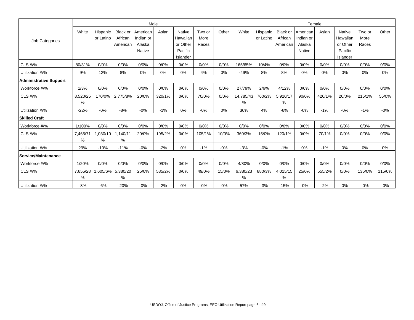|                               |                  |                       |                                        |                                                  | Male   |                                                              |                         | Female |                |                       |                                 |                                           |        |                                                              |                         |        |
|-------------------------------|------------------|-----------------------|----------------------------------------|--------------------------------------------------|--------|--------------------------------------------------------------|-------------------------|--------|----------------|-----------------------|---------------------------------|-------------------------------------------|--------|--------------------------------------------------------------|-------------------------|--------|
| Job Categories                | White            | Hispanic<br>or Latino | <b>Black or</b><br>African<br>American | American<br>Indian or<br>Alaska<br><b>Native</b> | Asian  | <b>Native</b><br>Hawaiian<br>or Other<br>Pacific<br>Islander | Two or<br>More<br>Races | Other  | White          | Hispanic<br>or Latino | Black or<br>African<br>American | American<br>Indian or<br>Alaska<br>Native | Asian  | <b>Native</b><br>Hawaiian<br>or Other<br>Pacific<br>Islander | Two or<br>More<br>Races | Other  |
| CLS $\#$ /%                   | 80/31%           | 0/0%                  | 0/0%                                   | 0/0%                                             | 0/0%   | 0/0%                                                         | 0/0%                    | 0/0%   | 165/65%        | 10/4%                 | 0/0%                            | 0/0%                                      | 0/0%   | 0/0%                                                         | 0/0%                    | 0/0%   |
| Utilization #/%               | 9%               | 12%                   | 8%                                     | 0%                                               | 0%     | $0\%$                                                        | 4%                      | 0%     | $-49%$         | 8%                    | 8%                              | 0%                                        | 0%     | 0%                                                           | 0%                      | 0%     |
| <b>Administrative Support</b> |                  |                       |                                        |                                                  |        |                                                              |                         |        |                |                       |                                 |                                           |        |                                                              |                         |        |
| Workforce #/%                 | 1/3%             | 0/0%                  | 0/0%                                   | 0/0%                                             | 0/0%   | 0/0%                                                         | 0/0%                    | 0/0%   | 27/79%         | 2/6%                  | 4/12%                           | 0/0%                                      | 0/0%   | 0/0%                                                         | 0/0%                    | 0/0%   |
| CLS #/%                       | 8,520/25<br>%    | 170/0%                | 2,775/8%                               | 20/0%                                            | 320/1% | 0/0%                                                         | 70/0%                   | 0/0%   | 14,785/43<br>% | 760/2%                | 5,920/17<br>%                   | 90/0%                                     | 420/1% | 20/0%                                                        | 215/1%                  | 55/0%  |
| Utilization #/%               | $-22%$           | $-0%$                 | $-8%$                                  | $-0\%$                                           | $-1%$  | 0%                                                           | $-0%$                   | 0%     | 36%            | 4%                    | $-6%$                           | $-0%$                                     | $-1%$  | $-0%$                                                        | $-1%$                   | $-0\%$ |
| <b>Skilled Craft</b>          |                  |                       |                                        |                                                  |        |                                                              |                         |        |                |                       |                                 |                                           |        |                                                              |                         |        |
| Workforce #/%                 | 1/100%           | 0/0%                  | 0/0%                                   | 0/0%                                             | 0/0%   | 0/0%                                                         | 0/0%                    | 0/0%   | 0/0%           | 0/0%                  | 0/0%                            | 0/0%                                      | 0/0%   | 0/0%                                                         | 0/0%                    | 0/0%   |
| CLS #/%                       | 7,465/71<br>$\%$ | 1,030/10<br>%         | 1,140/11<br>%                          | 20/0%                                            | 195/2% | 0/0%                                                         | 105/1%                  | 10/0%  | 360/3%         | 15/0%                 | 120/1%                          | 0/0%                                      | 70/1%  | 0/0%                                                         | 0/0%                    | 0/0%   |
| Utilization #/%               | 29%              | $-10%$                | $-11%$                                 | $-0%$                                            | $-2%$  | 0%                                                           | $-1%$                   | $-0%$  | $-3%$          | $-0%$                 | $-1%$                           | 0%                                        | $-1%$  | 0%                                                           | 0%                      | $0\%$  |
| Service/Maintenance           |                  |                       |                                        |                                                  |        |                                                              |                         |        |                |                       |                                 |                                           |        |                                                              |                         |        |
| Workforce #/%                 | 1/20%            | 0/0%                  | 0/0%                                   | 0/0%                                             | 0/0%   | 0/0%                                                         | 0/0%                    | 0/0%   | 4/80%          | 0/0%                  | 0/0%                            | 0/0%                                      | 0/0%   | 0/0%                                                         | 0/0%                    | 0/0%   |
| CLS #/%                       | 7,655/28<br>℅    | ,605/6%               | 5,380/20<br>%                          | 25/0%                                            | 585/2% | 0/0%                                                         | 49/0%                   | 15/0%  | 6,380/23<br>%  | 880/3%                | 4,015/15<br>%                   | 25/0%                                     | 555/2% | 0/0%                                                         | 135/0%                  | 115/0% |
| Utilization #/%               | $-8%$            | $-6%$                 | $-20%$                                 | $-0%$                                            | $-2%$  | $0\%$                                                        | $-0\%$                  | $-0\%$ | 57%            | $-3%$                 | $-15%$                          | $-0%$                                     | $-2%$  | $0\%$                                                        | $-0%$                   | $-0\%$ |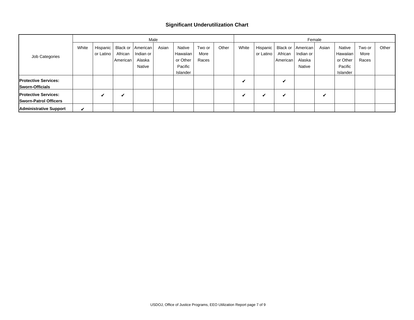## **Significant Underutilization Chart**

|                                                             |       |                         |                                 |                                           | Male  |                                                       |                         | Female |       |                         |                     |                                                               |       |                                                       |                         |       |
|-------------------------------------------------------------|-------|-------------------------|---------------------------------|-------------------------------------------|-------|-------------------------------------------------------|-------------------------|--------|-------|-------------------------|---------------------|---------------------------------------------------------------|-------|-------------------------------------------------------|-------------------------|-------|
| Job Categories                                              | White | Hispanic  <br>or Latino | Black or<br>African<br>American | American<br>Indian or<br>Alaska<br>Native | Asian | Native<br>Hawaiian<br>or Other<br>Pacific<br>Islander | Two or<br>More<br>Races | Other  | White | Hispanic  <br>or Latino | African<br>American | Black or   American  <br>Indian or<br>Alaska<br><b>Native</b> | Asian | Native<br>Hawaiian<br>or Other<br>Pacific<br>Islander | Two or<br>More<br>Races | Other |
| <b>Protective Services:</b><br><b>Sworn-Officials</b>       |       |                         |                                 |                                           |       |                                                       |                         |        | v     |                         | v                   |                                                               |       |                                                       |                         |       |
| <b>Protective Services:</b><br><b>Sworn-Patrol Officers</b> |       | ✔                       | v                               |                                           |       |                                                       |                         |        | v     | v                       | v                   |                                                               | v     |                                                       |                         |       |
| <b>Administrative Support</b>                               | V     |                         |                                 |                                           |       |                                                       |                         |        |       |                         |                     |                                                               |       |                                                       |                         |       |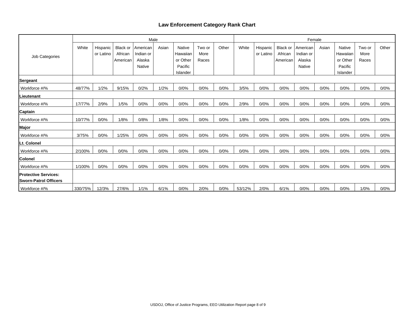## **Law Enforcement Category Rank Chart**

|                                                              |         |                       |                                 | Male                            |       |                                       |                         | Female |        |                       |                                        |                                 |       |                                       |                         |       |
|--------------------------------------------------------------|---------|-----------------------|---------------------------------|---------------------------------|-------|---------------------------------------|-------------------------|--------|--------|-----------------------|----------------------------------------|---------------------------------|-------|---------------------------------------|-------------------------|-------|
| Job Categories                                               | White   | Hispanic<br>or Latino | Black or<br>African<br>American | American<br>Indian or<br>Alaska | Asian | <b>Native</b><br>Hawaiian<br>or Other | Two or<br>More<br>Races | Other  | White  | Hispanic<br>or Latino | <b>Black or</b><br>African<br>American | American<br>Indian or<br>Alaska | Asian | <b>Native</b><br>Hawaiian<br>or Other | Two or<br>More<br>Races | Other |
|                                                              |         |                       |                                 | <b>Native</b>                   |       | Pacific<br>Islander                   |                         |        |        |                       |                                        | Native                          |       | Pacific<br>Islander                   |                         |       |
| Sergeant                                                     |         |                       |                                 |                                 |       |                                       |                         |        |        |                       |                                        |                                 |       |                                       |                         |       |
| Workforce #/%                                                | 48/77%  | 1/2%                  | 9/15%                           | 0/2%                            | 1/2%  | 0/0%                                  | 0/0%                    | 0/0%   | 3/5%   | 0/0%                  | 0/0%                                   | 0/0%                            | 0/0%  | 0/0%                                  | 0/0%                    | 0/0%  |
| ILieutenant                                                  |         |                       |                                 |                                 |       |                                       |                         |        |        |                       |                                        |                                 |       |                                       |                         |       |
| Workforce #/%                                                | 17/77%  | 2/9%                  | 1/5%                            | 0/0%                            | 0/0%  | 0/0%                                  | 0/0%                    | 0/0%   | 2/9%   | 0/0%                  | 0/0%                                   | 0/0%                            | 0/0%  | 0/0%                                  | 0/0%                    | 0/0%  |
| <b>Captain</b>                                               |         |                       |                                 |                                 |       |                                       |                         |        |        |                       |                                        |                                 |       |                                       |                         |       |
| Workforce #/%                                                | 10/77%  | 0/0%                  | 1/8%                            | 0/8%                            | 1/8%  | 0/0%                                  | 0/0%                    | 0/0%   | 1/8%   | 0/0%                  | 0/0%                                   | 0/0%                            | 0/0%  | 0/0%                                  | 0/0%                    | 0/0%  |
| Major                                                        |         |                       |                                 |                                 |       |                                       |                         |        |        |                       |                                        |                                 |       |                                       |                         |       |
| Workforce #/%                                                | 3/75%   | 0/0%                  | 1/25%                           | 0/0%                            | 0/0%  | 0/0%                                  | 0/0%                    | 0/0%   | 0/0%   | 0/0%                  | 0/0%                                   | 0/0%                            | 0/0%  | 0/0%                                  | 0/0%                    | 0/0%  |
| Lt. Colonel                                                  |         |                       |                                 |                                 |       |                                       |                         |        |        |                       |                                        |                                 |       |                                       |                         |       |
| Workforce #/%                                                | 2/100%  | 0/0%                  | 0/0%                            | 0/0%                            | 0/0%  | 0/0%                                  | 0/0%                    | 0/0%   | 0/0%   | 0/0%                  | 0/0%                                   | 0/0%                            | 0/0%  | 0/0%                                  | 0/0%                    | 0/0%  |
| <b>Colonel</b>                                               |         |                       |                                 |                                 |       |                                       |                         |        |        |                       |                                        |                                 |       |                                       |                         |       |
| Workforce #/%                                                | 1/100%  | 0/0%                  | 0/0%                            | 0/0%                            | 0/0%  | 0/0%                                  | 0/0%                    | 0/0%   | 0/0%   | 0/0%                  | 0/0%                                   | 0/0%                            | 0/0%  | 0/0%                                  | 0/0%                    | 0/0%  |
| <b>Protective Services:</b><br><b>ISworn-Patrol Officers</b> |         |                       |                                 |                                 |       |                                       |                         |        |        |                       |                                        |                                 |       |                                       |                         |       |
| Workforce #/%                                                | 330/75% | 12/3%                 | 27/6%                           | 1/1%                            | 6/1%  | 0/0%                                  | 2/0%                    | 0/0%   | 53/12% | 2/0%                  | 6/1%                                   | 0/0%                            | 0/0%  | 0/0%                                  | 1/0%                    | 0/0%  |